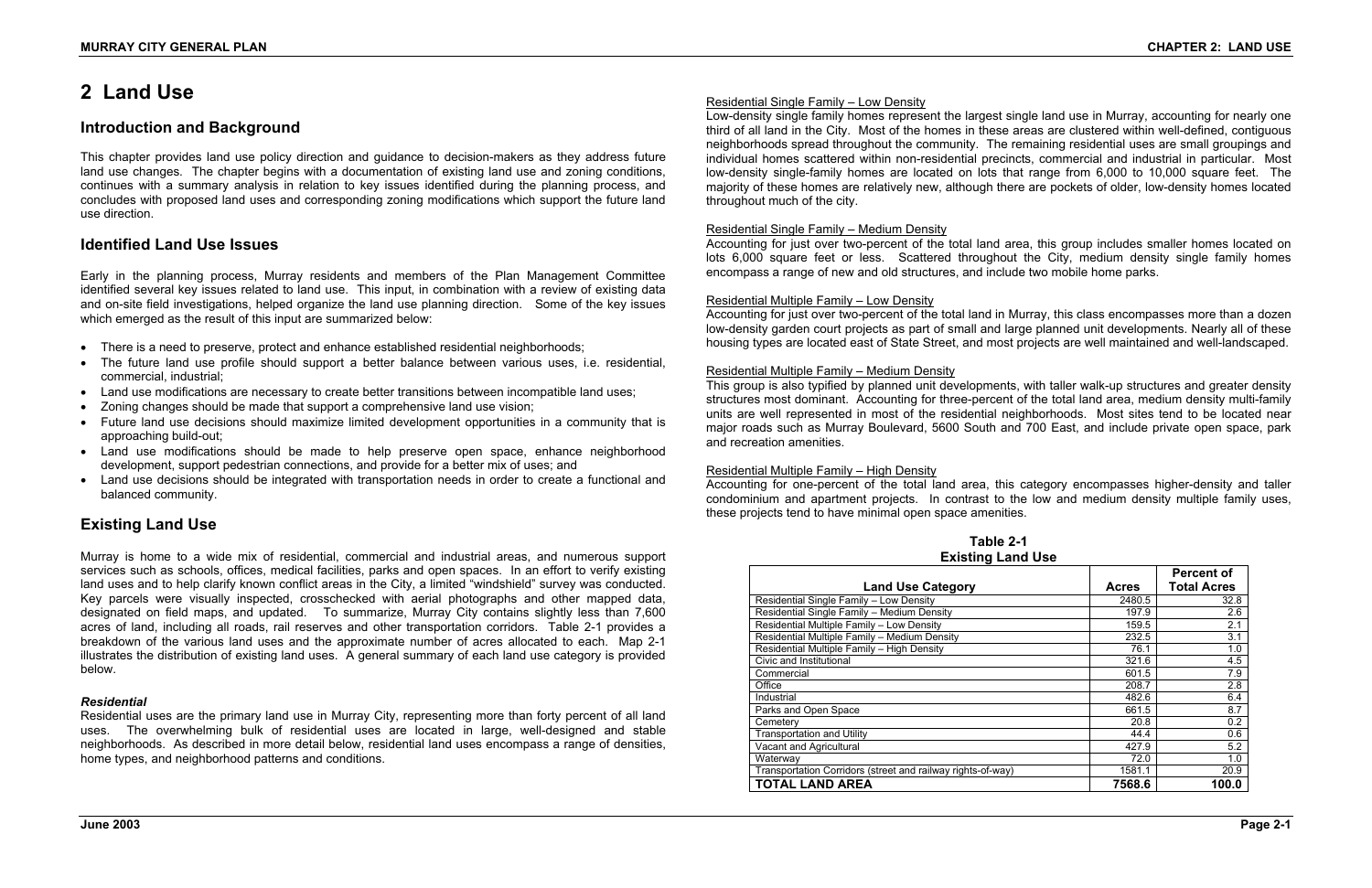# **2 Land Use**

# **Introduction and Background**

This chapter provides land use policy direction and guidance to decision-makers as they address future land use changes. The chapter begins with a documentation of existing land use and zoning conditions, continues with a summary analysis in relation to key issues identified during the planning process, and concludes with proposed land uses and corresponding zoning modifications which support the future land use direction.

# **Identified Land Use Issues**

Early in the planning process, Murray residents and members of the Plan Management Committee identified several key issues related to land use. This input, in combination with a review of existing data and on-site field investigations, helped organize the land use planning direction. Some of the key issues which emerged as the result of this input are summarized below:

- There is a need to preserve, protect and enhance established residential neighborhoods;
- The future land use profile should support a better balance between various uses, i.e. residential, commercial, industrial;
- Land use modifications are necessary to create better transitions between incompatible land uses;
- Zoning changes should be made that support a comprehensive land use vision;
- Future land use decisions should maximize limited development opportunities in a community that is approaching build-out;
- Land use modifications should be made to help preserve open space, enhance neighborhood development, support pedestrian connections, and provide for a better mix of uses; and
- Land use decisions should be integrated with transportation needs in order to create a functional and balanced community.

# **Existing Land Use**

Murray is home to a wide mix of residential, commercial and industrial areas, and numerous support services such as schools, offices, medical facilities, parks and open spaces. In an effort to verify existing land uses and to help clarify known conflict areas in the City, a limited "windshield" survey was conducted. Key parcels were visually inspected, crosschecked with aerial photographs and other mapped data, designated on field maps, and updated. To summarize, Murray City contains slightly less than 7,600 acres of land, including all roads, rail reserves and other transportation corridors. Table 2-1 provides a breakdown of the various land uses and the approximate number of acres allocated to each. Map 2-1 illustrates the distribution of existing land uses. A general summary of each land use category is provided below.

#### *Residential*

Residential uses are the primary land use in Murray City, representing more than forty percent of all land uses. The overwhelming bulk of residential uses are located in large, well-designed and stable neighborhoods. As described in more detail below, residential land uses encompass a range of densities, home types, and neighborhood patterns and conditions.

#### Residential Single Family – Low Density

Low-density single family homes represent the largest single land use in Murray, accounting for nearly one third of all land in the City. Most of the homes in these areas are clustered within well-defined, contiguous neighborhoods spread throughout the community. The remaining residential uses are small groupings and individual homes scattered within non-residential precincts, commercial and industrial in particular. Most low-density single-family homes are located on lots that range from 6,000 to 10,000 square feet. The majority of these homes are relatively new, although there are pockets of older, low-density homes located throughout much of the city.

#### Residential Single Family – Medium Density

Accounting for just over two-percent of the total land area, this group includes smaller homes located on lots 6,000 square feet or less. Scattered throughout the City, medium density single family homes encompass a range of new and old structures, and include two mobile home parks.

#### Residential Multiple Family – Low Density

Accounting for just over two-percent of the total land in Murray, this class encompasses more than a dozen low-density garden court projects as part of small and large planned unit developments. Nearly all of these housing types are located east of State Street, and most projects are well maintained and well-landscaped.

#### Residential Multiple Family – Medium Density

This group is also typified by planned unit developments, with taller walk-up structures and greater density structures most dominant. Accounting for three-percent of the total land area, medium density multi-family units are well represented in most of the residential neighborhoods. Most sites tend to be located near major roads such as Murray Boulevard, 5600 South and 700 East, and include private open space, park and recreation amenities.

#### Residential Multiple Family – High Density

Accounting for one-percent of the total land area, this category encompasses higher-density and taller condominium and apartment projects. In contrast to the low and medium density multiple family uses, these projects tend to have minimal open space amenities.

# **Table 2-1 Existing Land Use**

|                                                             |              | <b>Percent of</b>  |
|-------------------------------------------------------------|--------------|--------------------|
| <b>Land Use Category</b>                                    | <b>Acres</b> | <b>Total Acres</b> |
| Residential Single Family - Low Density                     | 2480.5       | 32.8               |
| Residential Single Family - Medium Density                  | 197.9        | 2.6                |
| Residential Multiple Family - Low Density                   | 159.5        | 2.1                |
| Residential Multiple Family - Medium Density                | 232.5        | 3.1                |
| Residential Multiple Family - High Density                  | 76.1         | 1.0                |
| Civic and Institutional                                     | 321.6        | 4.5                |
| Commercial                                                  | 601.5        | 7.9                |
| Office                                                      | 208.7        | 2.8                |
| Industrial                                                  | 482.6        | 6.4                |
| Parks and Open Space                                        | 661.5        | 8.7                |
| Cemetery                                                    | 20.8         | 0.2                |
| <b>Transportation and Utility</b>                           | 44.4         | 0.6                |
| Vacant and Agricultural                                     | 427.9        | 5.2                |
| Waterway                                                    | 72.0         | 1.0                |
| Transportation Corridors (street and railway rights-of-way) | 1581.1       | 20.9               |
| <b>TOTAL LAND AREA</b>                                      | 7568.6       | 100.0              |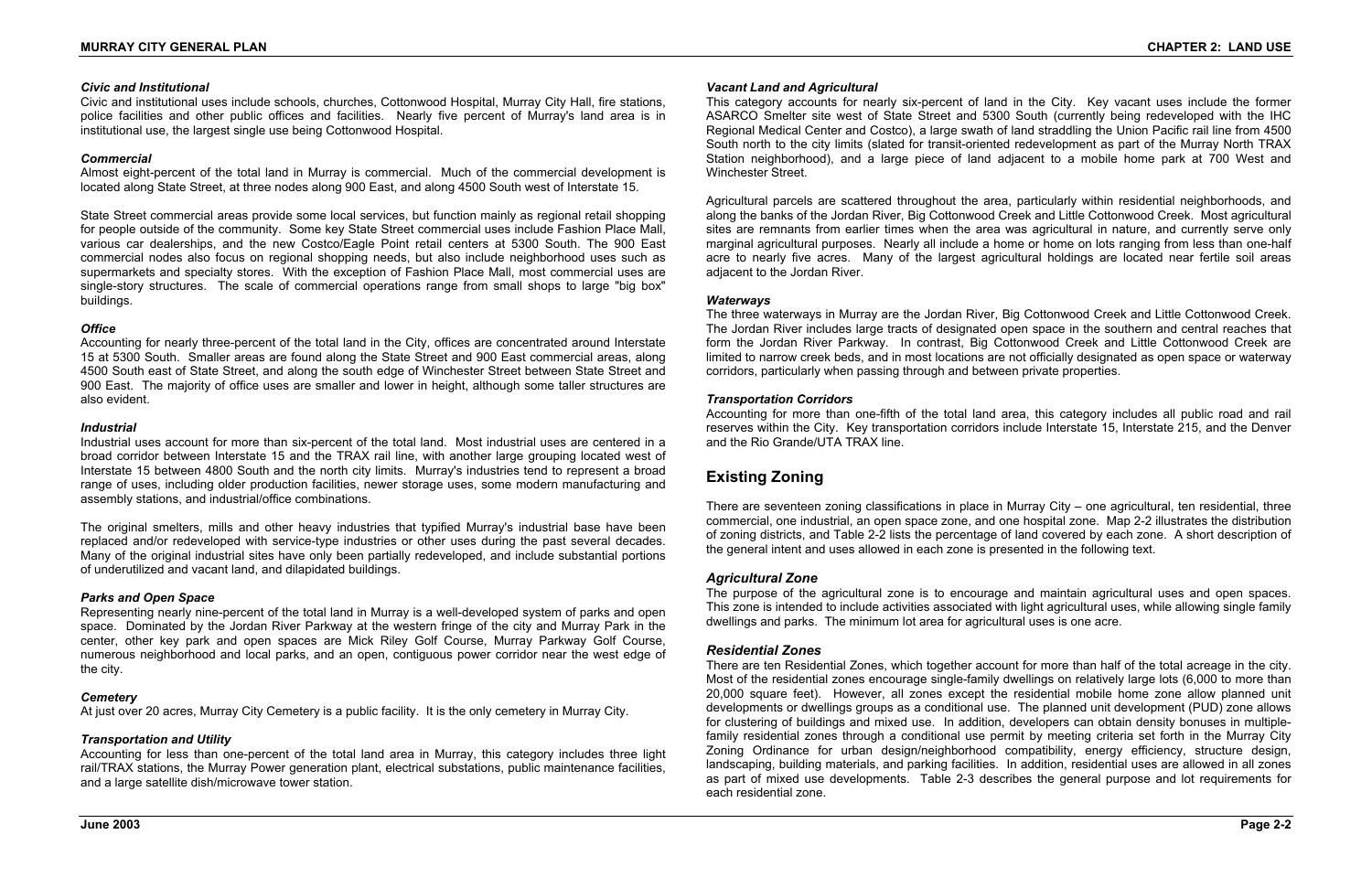#### *Civic and Institutional*

Civic and institutional uses include schools, churches, Cottonwood Hospital, Murray City Hall, fire stations, police facilities and other public offices and facilities. Nearly five percent of Murray's land area is in institutional use, the largest single use being Cottonwood Hospital.

#### *Commercial*

Almost eight-percent of the total land in Murray is commercial. Much of the commercial development is located along State Street, at three nodes along 900 East, and along 4500 South west of Interstate 15.

State Street commercial areas provide some local services, but function mainly as regional retail shopping for people outside of the community. Some key State Street commercial uses include Fashion Place Mall, various car dealerships, and the new Costco/Eagle Point retail centers at 5300 South. The 900 East commercial nodes also focus on regional shopping needs, but also include neighborhood uses such as supermarkets and specialty stores. With the exception of Fashion Place Mall, most commercial uses are single-story structures. The scale of commercial operations range from small shops to large "big box" buildings.

#### *Office*

Accounting for nearly three-percent of the total land in the City, offices are concentrated around Interstate 15 at 5300 South. Smaller areas are found along the State Street and 900 East commercial areas, along 4500 South east of State Street, and along the south edge of Winchester Street between State Street and 900 East. The majority of office uses are smaller and lower in height, although some taller structures are also evident.

#### *Industrial*

Industrial uses account for more than six-percent of the total land. Most industrial uses are centered in a broad corridor between Interstate 15 and the TRAX rail line, with another large grouping located west of Interstate 15 between 4800 South and the north city limits. Murray's industries tend to represent a broad range of uses, including older production facilities, newer storage uses, some modern manufacturing and assembly stations, and industrial/office combinations.

The original smelters, mills and other heavy industries that typified Murray's industrial base have been replaced and/or redeveloped with service-type industries or other uses during the past several decades. Many of the original industrial sites have only been partially redeveloped, and include substantial portions of underutilized and vacant land, and dilapidated buildings.

#### *Parks and Open Space*

Representing nearly nine-percent of the total land in Murray is a well-developed system of parks and open space. Dominated by the Jordan River Parkway at the western fringe of the city and Murray Park in the center, other key park and open spaces are Mick Riley Golf Course, Murray Parkway Golf Course, numerous neighborhood and local parks, and an open, contiguous power corridor near the west edge of the city.

#### *Cemetery*

At just over 20 acres, Murray City Cemetery is a public facility. It is the only cemetery in Murray City.

#### *Transportation and Utility*

Accounting for less than one-percent of the total land area in Murray, this category includes three light rail/TRAX stations, the Murray Power generation plant, electrical substations, public maintenance facilities, and a large satellite dish/microwave tower station.

#### *Vacant Land and Agricultural*

This category accounts for nearly six-percent of land in the City. Key vacant uses include the former ASARCO Smelter site west of State Street and 5300 South (currently being redeveloped with the IHC Regional Medical Center and Costco), a large swath of land straddling the Union Pacific rail line from 4500 South north to the city limits (slated for transit-oriented redevelopment as part of the Murray North TRAX Station neighborhood), and a large piece of land adjacent to a mobile home park at 700 West and Winchester Street.

Agricultural parcels are scattered throughout the area, particularly within residential neighborhoods, and along the banks of the Jordan River, Big Cottonwood Creek and Little Cottonwood Creek. Most agricultural sites are remnants from earlier times when the area was agricultural in nature, and currently serve only marginal agricultural purposes. Nearly all include a home or home on lots ranging from less than one-half acre to nearly five acres. Many of the largest agricultural holdings are located near fertile soil areas adjacent to the Jordan River.

#### *Waterways*

The three waterways in Murray are the Jordan River, Big Cottonwood Creek and Little Cottonwood Creek. The Jordan River includes large tracts of designated open space in the southern and central reaches that form the Jordan River Parkway. In contrast, Big Cottonwood Creek and Little Cottonwood Creek are limited to narrow creek beds, and in most locations are not officially designated as open space or waterway corridors, particularly when passing through and between private properties.

#### *Transportation Corridors*

Accounting for more than one-fifth of the total land area, this category includes all public road and rail reserves within the City. Key transportation corridors include Interstate 15, Interstate 215, and the Denver and the Rio Grande/UTA TRAX line.

# **Existing Zoning**

There are seventeen zoning classifications in place in Murray City – one agricultural, ten residential, three commercial, one industrial, an open space zone, and one hospital zone. Map 2-2 illustrates the distribution of zoning districts, and Table 2-2 lists the percentage of land covered by each zone. A short description of the general intent and uses allowed in each zone is presented in the following text.

#### *Agricultural Zone*

The purpose of the agricultural zone is to encourage and maintain agricultural uses and open spaces. This zone is intended to include activities associated with light agricultural uses, while allowing single family dwellings and parks. The minimum lot area for agricultural uses is one acre.

#### *Residential Zones*

There are ten Residential Zones, which together account for more than half of the total acreage in the city. Most of the residential zones encourage single-family dwellings on relatively large lots (6,000 to more than 20,000 square feet). However, all zones except the residential mobile home zone allow planned unit developments or dwellings groups as a conditional use. The planned unit development (PUD) zone allows for clustering of buildings and mixed use. In addition, developers can obtain density bonuses in multiplefamily residential zones through a conditional use permit by meeting criteria set forth in the Murray City Zoning Ordinance for urban design/neighborhood compatibility, energy efficiency, structure design, landscaping, building materials, and parking facilities. In addition, residential uses are allowed in all zones as part of mixed use developments. Table 2-3 describes the general purpose and lot requirements for each residential zone.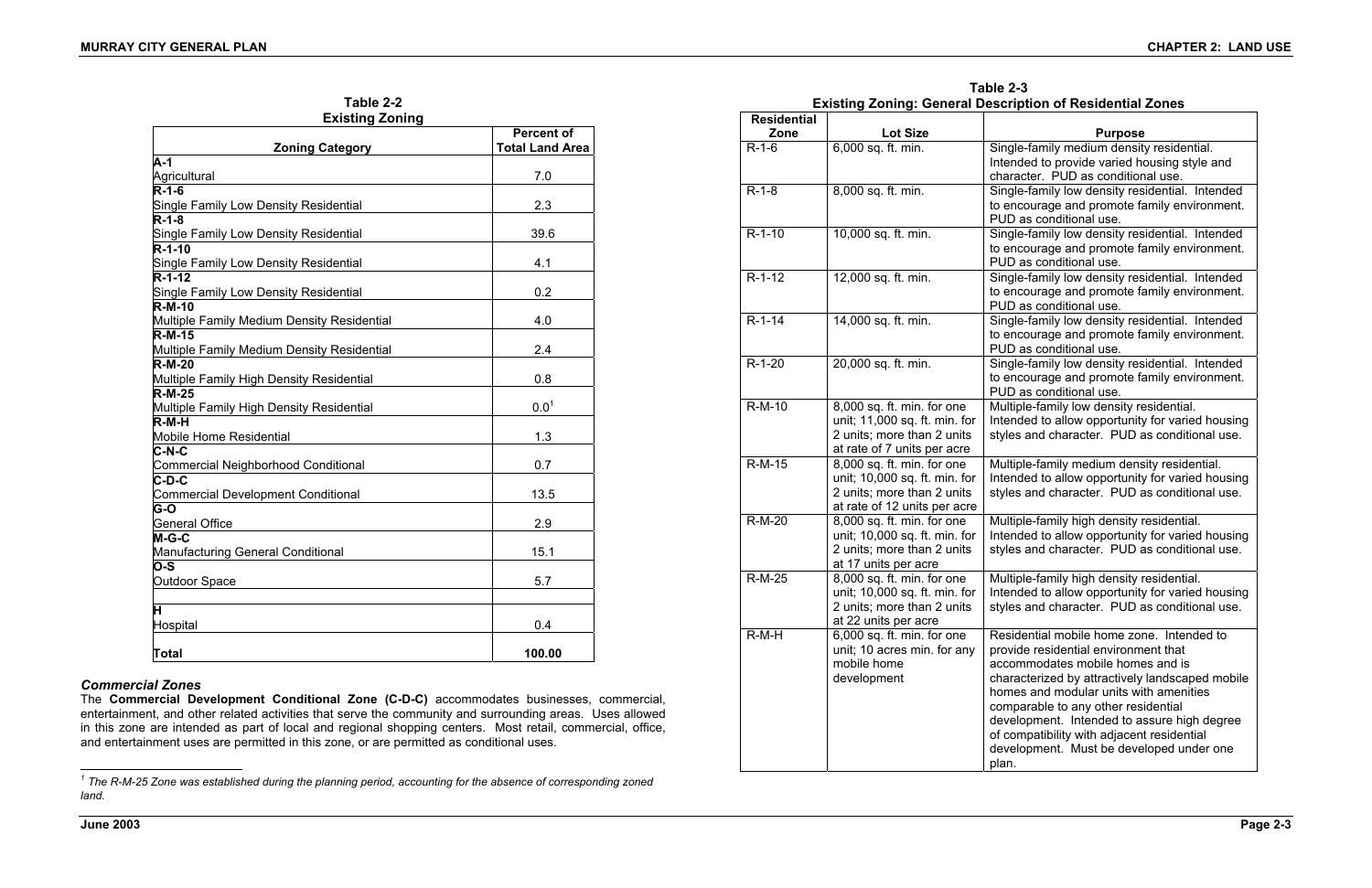| Table 2-2 |              |
|-----------|--------------|
|           | istina Zonin |

The **Commercial Development Conditional Zone (C-D-C)** accommodates businesses, commercial, entertainment, and other related activities that serve the community and surrounding areas. Uses allowed in this zone are intended as part of local and regional shopping centers. Most retail, commercial, office, and entertainment uses are permitted in this zone, or are permitted as conditional uses.

| <b>Existing Zoning</b>                                    |                                             |
|-----------------------------------------------------------|---------------------------------------------|
| <b>Zoning Category</b>                                    | <b>Percent of</b><br><b>Total Land Area</b> |
| $A-1$                                                     |                                             |
| Agricultural                                              | 7.0                                         |
| $\overline{R-1}$ -6                                       |                                             |
| Single Family Low Density Residential                     | 2.3                                         |
| $\overline{R}$ -1-8                                       |                                             |
| Single Family Low Density Residential                     | 39.6                                        |
| $R-1-10$                                                  |                                             |
| Single Family Low Density Residential                     | 4.1                                         |
| $R - 1 - 12$                                              |                                             |
| <b>Single Family Low Density Residential</b>              | 0.2                                         |
| $R-M-10$                                                  |                                             |
| Multiple Family Medium Density Residential                | 4.0                                         |
| $R-M-15$                                                  |                                             |
| Multiple Family Medium Density Residential                | 2.4                                         |
| $R-M-20$                                                  |                                             |
| Multiple Family High Density Residential                  | 0.8                                         |
| $R-M-25$                                                  |                                             |
| Multiple Family High Density Residential                  | $0.0^{1}$                                   |
| $R-M-H$                                                   |                                             |
| Mobile Home Residential                                   | 1.3                                         |
| $C-N-C$                                                   |                                             |
| <b>Commercial Neighborhood Conditional</b><br>$C$ -D- $C$ | 0.7                                         |
| <b>Commercial Development Conditional</b>                 | 13.5                                        |
| G-O                                                       |                                             |
| <b>General Office</b>                                     | 2.9                                         |
| $M-G-C$                                                   |                                             |
| <b>Manufacturing General Conditional</b>                  | 15.1                                        |
| O-S                                                       |                                             |
| Outdoor Space                                             | 5.7                                         |
|                                                           |                                             |
| H                                                         |                                             |
| Hospital                                                  | 0.4                                         |
|                                                           |                                             |
| <b>Total</b>                                              | 100.00                                      |

# *Commercial Zones*

# **Table 2-3 Existing Zoning: General Description of Residential Zones**

| <b>Residential</b> |                                                                                                                           | LABUNG LUNNG. OGNGIAI DESCRIPTION OF RESIGNINAL LUNGS                                                                                                                                                                                                                                                                                                                                                       |
|--------------------|---------------------------------------------------------------------------------------------------------------------------|-------------------------------------------------------------------------------------------------------------------------------------------------------------------------------------------------------------------------------------------------------------------------------------------------------------------------------------------------------------------------------------------------------------|
| Zone<br>$R-1-6$    | <b>Lot Size</b><br>6,000 sq. ft. min.                                                                                     | <b>Purpose</b><br>Single-family medium density residential.                                                                                                                                                                                                                                                                                                                                                 |
|                    |                                                                                                                           | Intended to provide varied housing style and<br>character. PUD as conditional use.                                                                                                                                                                                                                                                                                                                          |
| $R-1-8$            | 8,000 sq. ft. min.                                                                                                        | Single-family low density residential. Intended<br>to encourage and promote family environment.<br>PUD as conditional use.                                                                                                                                                                                                                                                                                  |
| $R-1-10$           | 10,000 sq. ft. min.                                                                                                       | Single-family low density residential. Intended<br>to encourage and promote family environment.<br>PUD as conditional use.                                                                                                                                                                                                                                                                                  |
| $R-1-12$           | 12,000 sq. ft. min.                                                                                                       | Single-family low density residential. Intended<br>to encourage and promote family environment.<br>PUD as conditional use.                                                                                                                                                                                                                                                                                  |
| $R-1-14$           | 14,000 sq. ft. min.                                                                                                       | Single-family low density residential. Intended<br>to encourage and promote family environment.<br>PUD as conditional use.                                                                                                                                                                                                                                                                                  |
| $R-1-20$           | 20,000 sq. ft. min.                                                                                                       | Single-family low density residential. Intended<br>to encourage and promote family environment.<br>PUD as conditional use.                                                                                                                                                                                                                                                                                  |
| R-M-10             | 8,000 sq. ft. min. for one<br>unit; 11,000 sq. ft. min. for<br>2 units; more than 2 units<br>at rate of 7 units per acre  | Multiple-family low density residential.<br>Intended to allow opportunity for varied housing<br>styles and character. PUD as conditional use.                                                                                                                                                                                                                                                               |
| R-M-15             | 8,000 sq. ft. min. for one<br>unit; 10,000 sq. ft. min. for<br>2 units; more than 2 units<br>at rate of 12 units per acre | Multiple-family medium density residential.<br>Intended to allow opportunity for varied housing<br>styles and character. PUD as conditional use.                                                                                                                                                                                                                                                            |
| R-M-20             | 8,000 sq. ft. min. for one<br>unit; 10,000 sq. ft. min. for<br>2 units; more than 2 units<br>at 17 units per acre         | Multiple-family high density residential.<br>Intended to allow opportunity for varied housing<br>styles and character. PUD as conditional use.                                                                                                                                                                                                                                                              |
| <b>R-M-25</b>      | 8,000 sq. ft. min. for one<br>unit; 10,000 sq. ft. min. for<br>2 units; more than 2 units<br>at 22 units per acre         | Multiple-family high density residential.<br>Intended to allow opportunity for varied housing<br>styles and character. PUD as conditional use                                                                                                                                                                                                                                                               |
| $R-M-H$            | 6,000 sq. ft. min. for one<br>unit; 10 acres min. for any<br>mobile home<br>development                                   | Residential mobile home zone. Intended to<br>provide residential environment that<br>accommodates mobile homes and is<br>characterized by attractively landscaped mobile<br>homes and modular units with amenities<br>comparable to any other residential<br>development. Intended to assure high degree<br>of compatibility with adjacent residential<br>development. Must be developed under one<br>plan. |

*<sup>1</sup> The R-M-25 Zone was established during the planning period, accounting for the absence of corresponding zoned land.*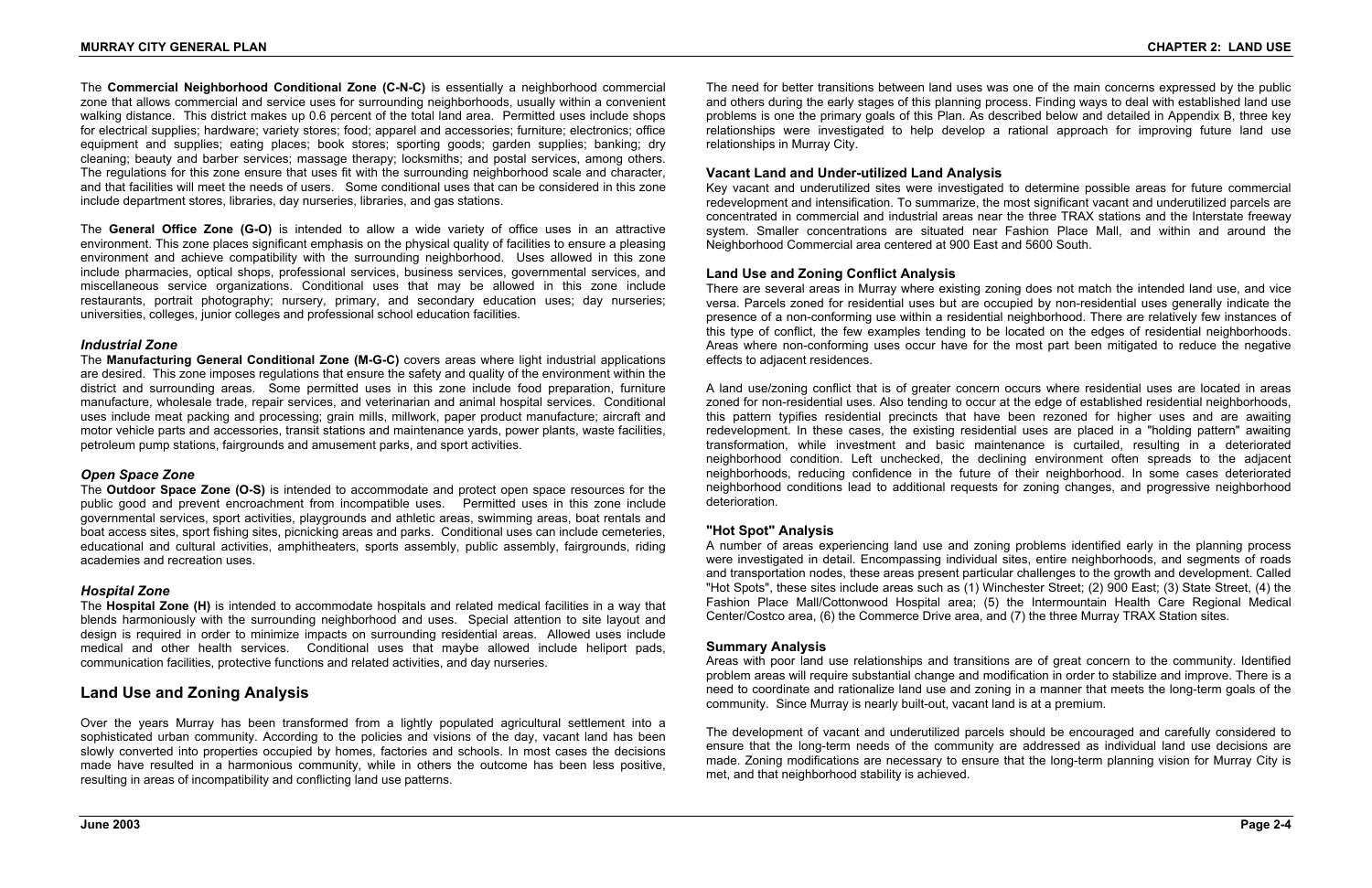The **Commercial Neighborhood Conditional Zone (C-N-C)** is essentially a neighborhood commercial zone that allows commercial and service uses for surrounding neighborhoods, usually within a convenient walking distance. This district makes up 0.6 percent of the total land area. Permitted uses include shops for electrical supplies; hardware; variety stores; food; apparel and accessories; furniture; electronics; office equipment and supplies; eating places; book stores; sporting goods; garden supplies; banking; dry cleaning; beauty and barber services; massage therapy; locksmiths; and postal services, among others. The regulations for this zone ensure that uses fit with the surrounding neighborhood scale and character, and that facilities will meet the needs of users. Some conditional uses that can be considered in this zone include department stores, libraries, day nurseries, libraries, and gas stations.

The **General Office Zone (G-O)** is intended to allow a wide variety of office uses in an attractive environment. This zone places significant emphasis on the physical quality of facilities to ensure a pleasing environment and achieve compatibility with the surrounding neighborhood. Uses allowed in this zone include pharmacies, optical shops, professional services, business services, governmental services, and miscellaneous service organizations. Conditional uses that may be allowed in this zone include restaurants, portrait photography; nursery, primary, and secondary education uses; day nurseries; universities, colleges, junior colleges and professional school education facilities.

#### *Industrial Zone*

The **Manufacturing General Conditional Zone (M-G-C)** covers areas where light industrial applications are desired. This zone imposes regulations that ensure the safety and quality of the environment within the district and surrounding areas. Some permitted uses in this zone include food preparation, furniture manufacture, wholesale trade, repair services, and veterinarian and animal hospital services. Conditional uses include meat packing and processing; grain mills, millwork, paper product manufacture; aircraft and motor vehicle parts and accessories, transit stations and maintenance yards, power plants, waste facilities, petroleum pump stations, fairgrounds and amusement parks, and sport activities.

### *Open Space Zone*

The **Outdoor Space Zone (O-S)** is intended to accommodate and protect open space resources for the public good and prevent encroachment from incompatible uses. Permitted uses in this zone include governmental services, sport activities, playgrounds and athletic areas, swimming areas, boat rentals and boat access sites, sport fishing sites, picnicking areas and parks. Conditional uses can include cemeteries, educational and cultural activities, amphitheaters, sports assembly, public assembly, fairgrounds, riding academies and recreation uses.

### *Hospital Zone*

The **Hospital Zone (H)** is intended to accommodate hospitals and related medical facilities in a way that blends harmoniously with the surrounding neighborhood and uses. Special attention to site layout and design is required in order to minimize impacts on surrounding residential areas. Allowed uses include medical and other health services. Conditional uses that maybe allowed include heliport pads, communication facilities, protective functions and related activities, and day nurseries.

# **Land Use and Zoning Analysis**

Over the years Murray has been transformed from a lightly populated agricultural settlement into a sophisticated urban community. According to the policies and visions of the day, vacant land has been slowly converted into properties occupied by homes, factories and schools. In most cases the decisions made have resulted in a harmonious community, while in others the outcome has been less positive, resulting in areas of incompatibility and conflicting land use patterns.

The need for better transitions between land uses was one of the main concerns expressed by the public and others during the early stages of this planning process. Finding ways to deal with established land use problems is one the primary goals of this Plan. As described below and detailed in Appendix B, three key relationships were investigated to help develop a rational approach for improving future land use relationships in Murray City.

#### **Vacant Land and Under-utilized Land Analysis**

Key vacant and underutilized sites were investigated to determine possible areas for future commercial redevelopment and intensification. To summarize, the most significant vacant and underutilized parcels are concentrated in commercial and industrial areas near the three TRAX stations and the Interstate freeway system. Smaller concentrations are situated near Fashion Place Mall, and within and around the Neighborhood Commercial area centered at 900 East and 5600 South.

#### **Land Use and Zoning Conflict Analysis**

There are several areas in Murray where existing zoning does not match the intended land use, and vice versa. Parcels zoned for residential uses but are occupied by non-residential uses generally indicate the presence of a non-conforming use within a residential neighborhood. There are relatively few instances of this type of conflict, the few examples tending to be located on the edges of residential neighborhoods. Areas where non-conforming uses occur have for the most part been mitigated to reduce the negative effects to adjacent residences.

A land use/zoning conflict that is of greater concern occurs where residential uses are located in areas zoned for non-residential uses. Also tending to occur at the edge of established residential neighborhoods, this pattern typifies residential precincts that have been rezoned for higher uses and are awaiting redevelopment. In these cases, the existing residential uses are placed in a "holding pattern" awaiting transformation, while investment and basic maintenance is curtailed, resulting in a deteriorated neighborhood condition. Left unchecked, the declining environment often spreads to the adjacent neighborhoods, reducing confidence in the future of their neighborhood. In some cases deteriorated neighborhood conditions lead to additional requests for zoning changes, and progressive neighborhood deterioration.

#### **"Hot Spot" Analysis**

A number of areas experiencing land use and zoning problems identified early in the planning process were investigated in detail. Encompassing individual sites, entire neighborhoods, and segments of roads and transportation nodes, these areas present particular challenges to the growth and development. Called "Hot Spots", these sites include areas such as (1) Winchester Street; (2) 900 East; (3) State Street, (4) the Fashion Place Mall/Cottonwood Hospital area; (5) the Intermountain Health Care Regional Medical Center/Costco area, (6) the Commerce Drive area, and (7) the three Murray TRAX Station sites.

#### **Summary Analysis**

Areas with poor land use relationships and transitions are of great concern to the community. Identified problem areas will require substantial change and modification in order to stabilize and improve. There is a need to coordinate and rationalize land use and zoning in a manner that meets the long-term goals of the community. Since Murray is nearly built-out, vacant land is at a premium.

The development of vacant and underutilized parcels should be encouraged and carefully considered to ensure that the long-term needs of the community are addressed as individual land use decisions are made. Zoning modifications are necessary to ensure that the long-term planning vision for Murray City is met, and that neighborhood stability is achieved.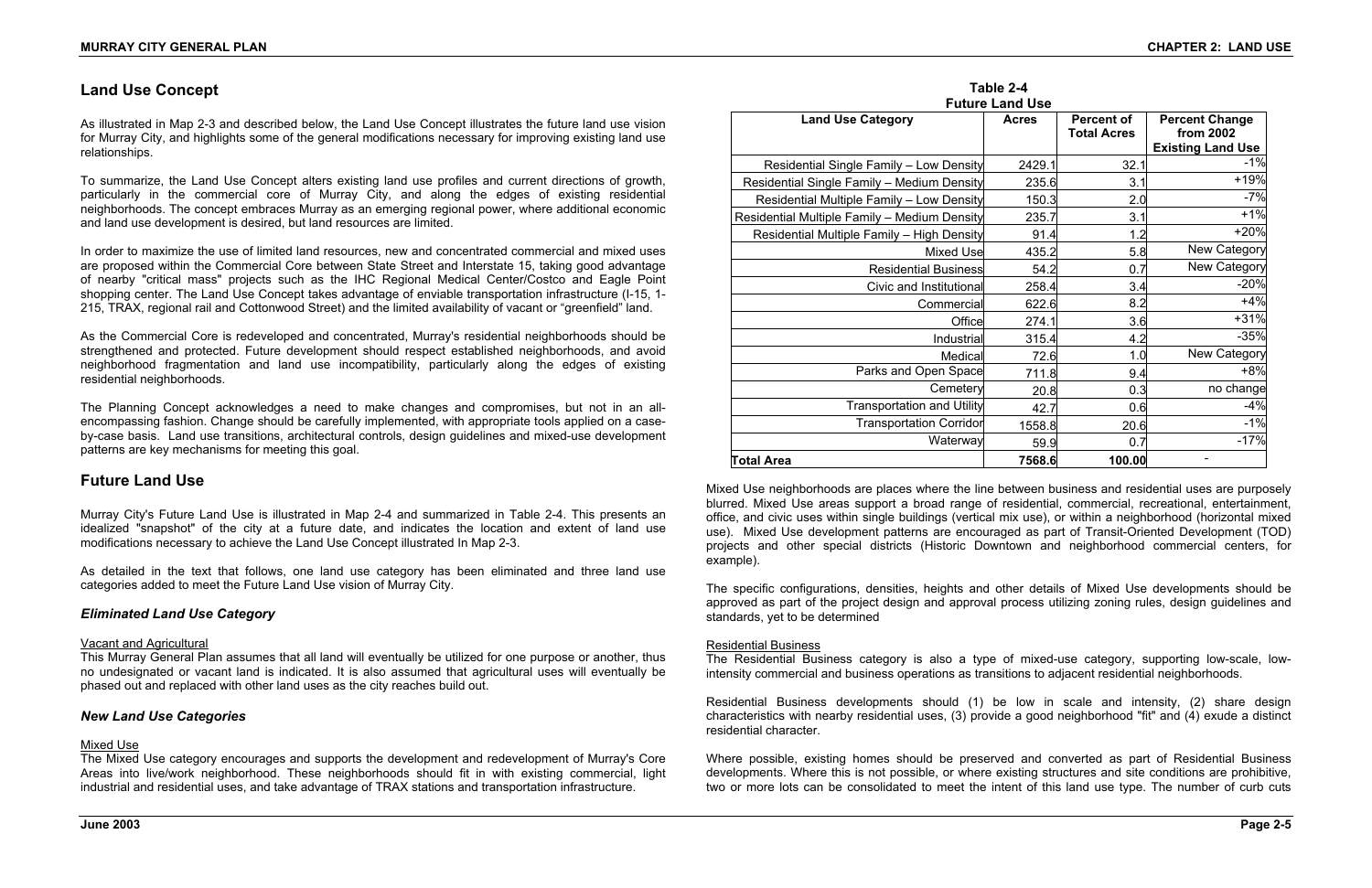# **Land Use Concept**

As illustrated in Map 2-3 and described below, the Land Use Concept illustrates the future land use vision for Murray City, and highlights some of the general modifications necessary for improving existing land use relationships.

To summarize, the Land Use Concept alters existing land use profiles and current directions of growth, particularly in the commercial core of Murray City, and along the edges of existing residential neighborhoods. The concept embraces Murray as an emerging regional power, where additional economic and land use development is desired, but land resources are limited.

In order to maximize the use of limited land resources, new and concentrated commercial and mixed uses are proposed within the Commercial Core between State Street and Interstate 15, taking good advantage of nearby "critical mass" projects such as the IHC Regional Medical Center/Costco and Eagle Point shopping center. The Land Use Concept takes advantage of enviable transportation infrastructure (I-15, 1- 215, TRAX, regional rail and Cottonwood Street) and the limited availability of vacant or "greenfield" land.

As the Commercial Core is redeveloped and concentrated, Murray's residential neighborhoods should be strengthened and protected. Future development should respect established neighborhoods, and avoid neighborhood fragmentation and land use incompatibility, particularly along the edges of existing residential neighborhoods.

The Planning Concept acknowledges a need to make changes and compromises, but not in an allencompassing fashion. Change should be carefully implemented, with appropriate tools applied on a caseby-case basis. Land use transitions, architectural controls, design guidelines and mixed-use development patterns are key mechanisms for meeting this goal.

# **Future Land Use**

Murray City's Future Land Use is illustrated in Map 2-4 and summarized in Table 2-4. This presents an idealized "snapshot" of the city at a future date, and indicates the location and extent of land use modifications necessary to achieve the Land Use Concept illustrated In Map 2-3.

As detailed in the text that follows, one land use category has been eliminated and three land use categories added to meet the Future Land Use vision of Murray City.

#### *Eliminated Land Use Category*

#### Vacant and Agricultural

This Murray General Plan assumes that all land will eventually be utilized for one purpose or another, thus no undesignated or vacant land is indicated. It is also assumed that agricultural uses will eventually be phased out and replaced with other land uses as the city reaches build out.

#### *New Land Use Categories*

#### Mixed Use

The Mixed Use category encourages and supports the development and redevelopment of Murray's Core Areas into live/work neighborhood. These neighborhoods should fit in with existing commercial, light industrial and residential uses, and take advantage of TRAX stations and transportation infrastructure.

# **Table 2-4**

|                                              | Taple 2-4              |                                         |                                    |
|----------------------------------------------|------------------------|-----------------------------------------|------------------------------------|
|                                              | <b>Future Land Use</b> |                                         |                                    |
| <b>Land Use Category</b>                     | <b>Acres</b>           | <b>Percent of</b><br><b>Total Acres</b> | <b>Percent Change</b><br>from 2002 |
|                                              |                        |                                         | <b>Existing Land Use</b>           |
| Residential Single Family - Low Density      | 2429.1                 | 32.1                                    | $-1%$                              |
| Residential Single Family - Medium Density   | 235.6                  | 3.1                                     | +19%                               |
| Residential Multiple Family - Low Density    | 150.3                  | 2.0                                     | $-7%$                              |
| Residential Multiple Family - Medium Density | 235.7                  | 3.1                                     | $+1%$                              |
| Residential Multiple Family - High Density   | 91.4                   | 1.2                                     | $+20%$                             |
| <b>Mixed Use</b>                             | 435.2                  | 5.8                                     | New Category                       |
| <b>Residential Business</b>                  | 54.2                   | 0.7                                     | New Category                       |
| Civic and Institutional                      | 258.4                  | 3.4                                     | $-20%$                             |
| Commercial                                   | 622.6                  | 8.2                                     | $+4%$                              |
| Office                                       | 274.1                  | 3.6                                     | $+31%$                             |
| Industrial                                   | 315.4                  | 4.2                                     | $-35%$                             |
| Medical                                      | 72.6                   | 1.0                                     | New Category                       |
| Parks and Open Space                         | 711.8                  | 9.4                                     | $+8%$                              |
| Cemetery                                     | 20.8                   | 0.3                                     | no change                          |
| <b>Transportation and Utility</b>            | 42.7                   | 0.6                                     | $-4%$                              |
| <b>Transportation Corridor</b>               | 1558.8                 | 20.6                                    | $-1%$                              |
| Waterway                                     | 59.9                   | 0.7                                     | $-17%$                             |
| <b>Total Area</b>                            | 7568.6                 | 100.00                                  |                                    |

Mixed Use neighborhoods are places where the line between business and residential uses are purposely blurred. Mixed Use areas support a broad range of residential, commercial, recreational, entertainment, office, and civic uses within single buildings (vertical mix use), or within a neighborhood (horizontal mixed use). Mixed Use development patterns are encouraged as part of Transit-Oriented Development (TOD) projects and other special districts (Historic Downtown and neighborhood commercial centers, for example).

The specific configurations, densities, heights and other details of Mixed Use developments should be approved as part of the project design and approval process utilizing zoning rules, design guidelines and standards, yet to be determined

#### Residential Business

The Residential Business category is also a type of mixed-use category, supporting low-scale, lowintensity commercial and business operations as transitions to adjacent residential neighborhoods.

Residential Business developments should (1) be low in scale and intensity, (2) share design characteristics with nearby residential uses, (3) provide a good neighborhood "fit" and (4) exude a distinct residential character.

Where possible, existing homes should be preserved and converted as part of Residential Business developments. Where this is not possible, or where existing structures and site conditions are prohibitive, two or more lots can be consolidated to meet the intent of this land use type. The number of curb cuts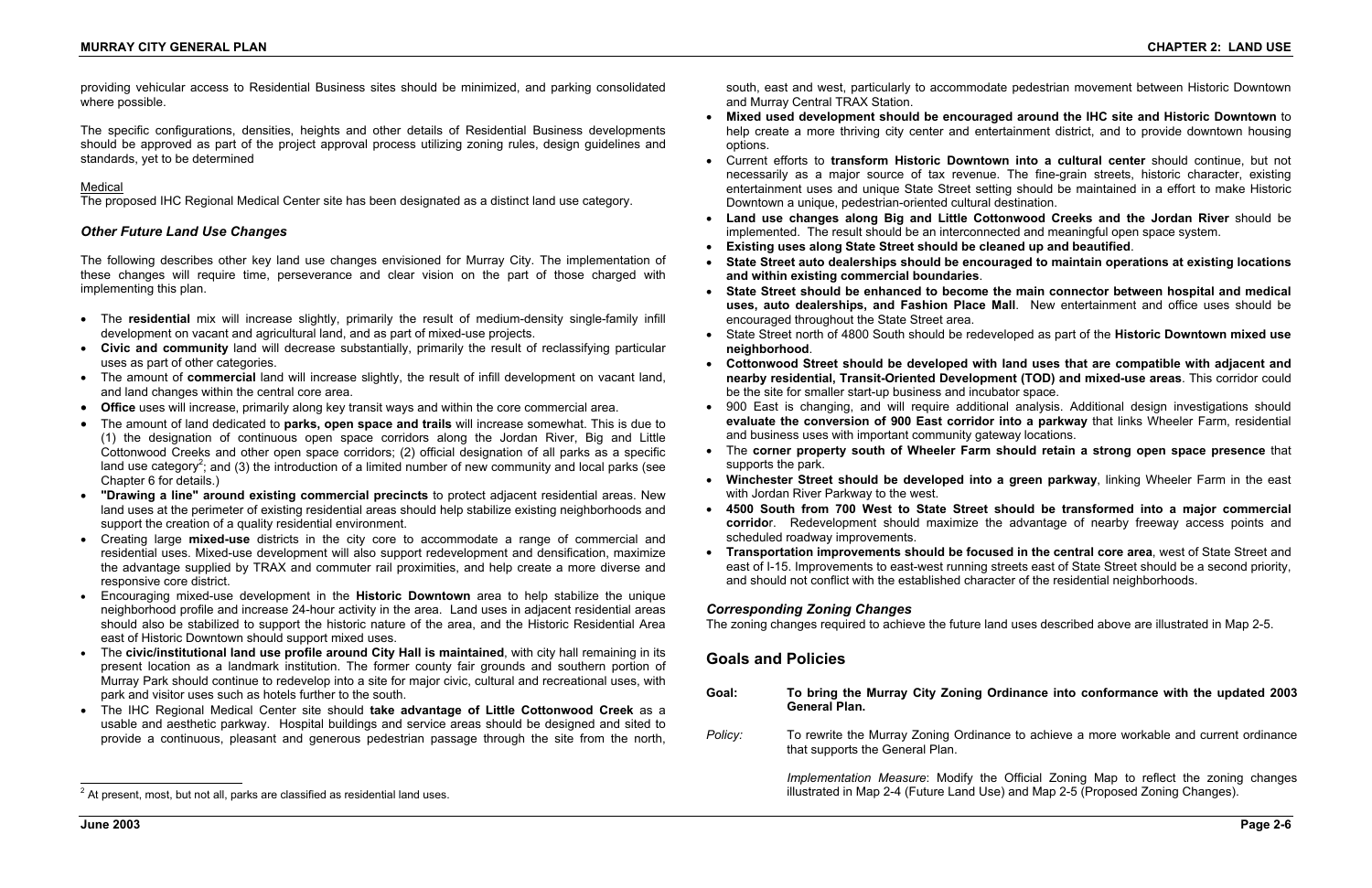providing vehicular access to Residential Business sites should be minimized, and parking consolidated where possible.

The specific configurations, densities, heights and other details of Residential Business developments should be approved as part of the project approval process utilizing zoning rules, design guidelines and standards, yet to be determined

#### Medical

The proposed IHC Regional Medical Center site has been designated as a distinct land use category.

#### *Other Future Land Use Changes*

The following describes other key land use changes envisioned for Murray City. The implementation of these changes will require time, perseverance and clear vision on the part of those charged with implementing this plan.

- The **residential** mix will increase slightly, primarily the result of medium-density single-family infill development on vacant and agricultural land, and as part of mixed-use projects.
- **Civic and community** land will decrease substantially, primarily the result of reclassifying particular uses as part of other categories.
- The amount of **commercial** land will increase slightly, the result of infill development on vacant land, and land changes within the central core area.
- **Office** uses will increase, primarily along key transit ways and within the core commercial area.
- The amount of land dedicated to **parks, open space and trails** will increase somewhat. This is due to (1) the designation of continuous open space corridors along the Jordan River, Big and Little Cottonwood Creeks and other open space corridors; (2) official designation of all parks as a specific land use category<sup>2</sup>; and (3) the introduction of a limited number of new community and local parks (see Chapter 6 for details.)
- **"Drawing a line" around existing commercial precincts** to protect adjacent residential areas. New land uses at the perimeter of existing residential areas should help stabilize existing neighborhoods and support the creation of a quality residential environment.
- Creating large **mixed-use** districts in the city core to accommodate a range of commercial and residential uses. Mixed-use development will also support redevelopment and densification, maximize the advantage supplied by TRAX and commuter rail proximities, and help create a more diverse and responsive core district.
- Encouraging mixed-use development in the **Historic Downtown** area to help stabilize the unique neighborhood profile and increase 24-hour activity in the area. Land uses in adjacent residential areas should also be stabilized to support the historic nature of the area, and the Historic Residential Area east of Historic Downtown should support mixed uses.
- • The **civic/institutional land use profile around City Hall is maintained**, with city hall remaining in its present location as a landmark institution. The former county fair grounds and southern portion of Murray Park should continue to redevelop into a site for major civic, cultural and recreational uses, with park and visitor uses such as hotels further to the south.
- The IHC Regional Medical Center site should **take advantage of Little Cottonwood Creek** as a usable and aesthetic parkway. Hospital buildings and service areas should be designed and sited to provide a continuous, pleasant and generous pedestrian passage through the site from the north,

south, east and west, particularly to accommodate pedestrian movement between Historic Downtown and Murray Central TRAX Station.

necessarily as a major source of tax revenue. The fine-grain streets, historic character, existing entertainment uses and unique State Street setting should be maintained in a effort to make Historic

• State Street north of 4800 South should be redeveloped as part of the **Historic Downtown mixed use** 

- **Mixed used development should be encouraged around the IHC site and Historic Downtown** to help create a more thriving city center and entertainment district, and to provide downtown housing options.
- Current efforts to **transform Historic Downtown into a cultural center** should continue, but not Downtown a unique, pedestrian-oriented cultural destination.
- **Land use changes along Big and Little Cottonwood Creeks and the Jordan River** should be implemented. The result should be an interconnected and meaningful open space system.
- •**Existing uses along State Street should be cleaned up and beautified**.
- • **State Street auto dealerships should be encouraged to maintain operations at existing locations and within existing commercial boundaries**.
- **State Street should be enhanced to become the main connector between hospital and medical uses, auto dealerships, and Fashion Place Mall**. New entertainment and office uses should be encouraged throughout the State Street area.
- **neighborhood**.
- • **Cottonwood Street should be developed with land uses that are compatible with adjacent and nearby residential, Transit-Oriented Development (TOD) and mixed-use areas**. This corridor could be the site for smaller start-up business and incubator space.
- 900 East is changing, and will require additional analysis. Additional design investigations should **evaluate the conversion of 900 East corridor into a parkway** that links Wheeler Farm, residential and business uses with important community gateway locations.
- The **corner property south of Wheeler Farm should retain a strong open space presence** that supports the park.
- **Winchester Street should be developed into a green parkway**, linking Wheeler Farm in the east with Jordan River Parkway to the west.
- • **4500 South from 700 West to State Street should be transformed into a major commercial**  scheduled roadway improvements.
- **Transportation improvements should be focused in the central core area**, west of State Street and east of I-15. Improvements to east-west running streets east of State Street should be a second priority, and should not conflict with the established character of the residential neighborhoods.

**corrido**r. Redevelopment should maximize the advantage of nearby freeway access points and

#### *Corresponding Zoning Changes*

The zoning changes required to achieve the future land uses described above are illustrated in Map 2-5.

# **Goals and Policies**

| Goal:   | To bring the Murray City Zoning Ordinance into conformance with the updated 2003<br><b>General Plan.</b>                                                                |
|---------|-------------------------------------------------------------------------------------------------------------------------------------------------------------------------|
| Policy: | To rewrite the Murray Zoning Ordinance to achieve a more workable and current ordinance<br>that supports the General Plan.                                              |
|         | Implementation Measure: Modify the Official Zoning Map to reflect the zoning changes<br>illustrated in Map 2-4 (Future Land Use) and Map 2-5 (Proposed Zoning Changes). |

 $2$  At present, most, but not all, parks are classified as residential land uses.